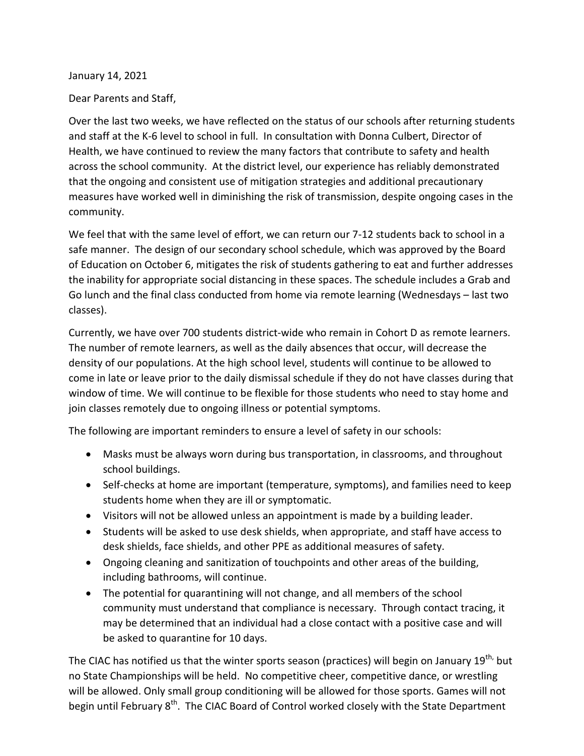January 14, 2021

Dear Parents and Staff,

Over the last two weeks, we have reflected on the status of our schools after returning students and staff at the K-6 level to school in full. In consultation with Donna Culbert, Director of Health, we have continued to review the many factors that contribute to safety and health across the school community. At the district level, our experience has reliably demonstrated that the ongoing and consistent use of mitigation strategies and additional precautionary measures have worked well in diminishing the risk of transmission, despite ongoing cases in the community.

We feel that with the same level of effort, we can return our 7-12 students back to school in a safe manner. The design of our secondary school schedule, which was approved by the Board of Education on October 6, mitigates the risk of students gathering to eat and further addresses the inability for appropriate social distancing in these spaces. The schedule includes a Grab and Go lunch and the final class conducted from home via remote learning (Wednesdays – last two classes).

Currently, we have over 700 students district-wide who remain in Cohort D as remote learners. The number of remote learners, as well as the daily absences that occur, will decrease the density of our populations. At the high school level, students will continue to be allowed to come in late or leave prior to the daily dismissal schedule if they do not have classes during that window of time. We will continue to be flexible for those students who need to stay home and join classes remotely due to ongoing illness or potential symptoms.

The following are important reminders to ensure a level of safety in our schools:

- Masks must be always worn during bus transportation, in classrooms, and throughout school buildings.
- Self-checks at home are important (temperature, symptoms), and families need to keep students home when they are ill or symptomatic.
- Visitors will not be allowed unless an appointment is made by a building leader.
- Students will be asked to use desk shields, when appropriate, and staff have access to desk shields, face shields, and other PPE as additional measures of safety.
- Ongoing cleaning and sanitization of touchpoints and other areas of the building, including bathrooms, will continue.
- The potential for quarantining will not change, and all members of the school community must understand that compliance is necessary. Through contact tracing, it may be determined that an individual had a close contact with a positive case and will be asked to quarantine for 10 days.

The CIAC has notified us that the winter sports season (practices) will begin on January 19<sup>th,</sup> but no State Championships will be held. No competitive cheer, competitive dance, or wrestling will be allowed. Only small group conditioning will be allowed for those sports. Games will not begin until February 8<sup>th</sup>. The CIAC Board of Control worked closely with the State Department